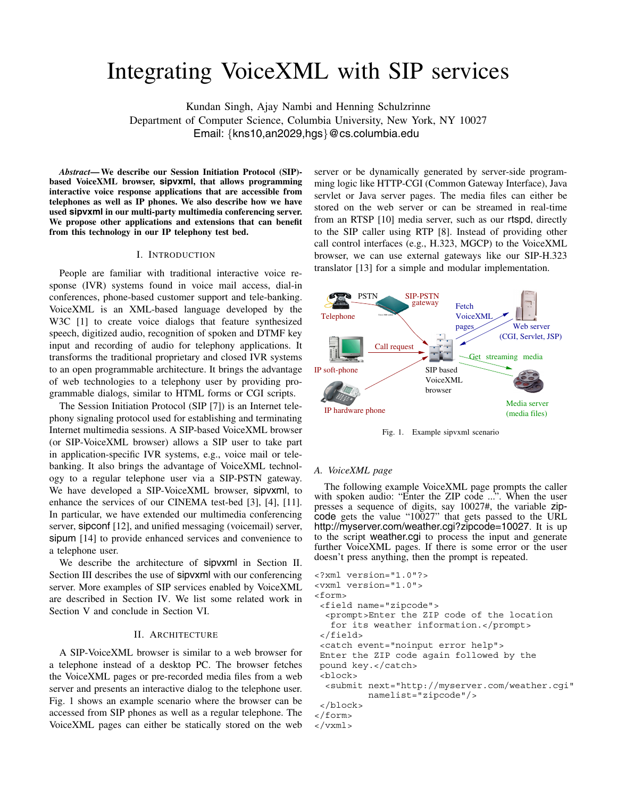# Integrating VoiceXML with SIP services

Kundan Singh, Ajay Nambi and Henning Schulzrinne Department of Computer Science, Columbia University, New York, NY 10027 Email: *{*kns10,an2029,hgs*}*@cs.columbia.edu

*Abstract***— We describe our Session Initiation Protocol (SIP) based VoiceXML browser, sipvxml, that allows programming interactive voice response applications that are accessible from telephones as well as IP phones. We also describe how we have used sipvxml in our multi-party multimedia conferencing server. We propose other applications and extensions that can benefit from this technology in our IP telephony test bed.**

# I. INTRODUCTION

People are familiar with traditional interactive voice response (IVR) systems found in voice mail access, dial-in conferences, phone-based customer support and tele-banking. VoiceXML is an XML-based language developed by the W3C [1] to create voice dialogs that feature synthesized speech, digitized audio, recognition of spoken and DTMF key input and recording of audio for telephony applications. It transforms the traditional proprietary and closed IVR systems to an open programmable architecture. It brings the advantage of web technologies to a telephony user by providing programmable dialogs, similar to HTML forms or CGI scripts.

The Session Initiation Protocol (SIP [7]) is an Internet telephony signaling protocol used for establishing and terminating Internet multimedia sessions. A SIP-based VoiceXML browser (or SIP-VoiceXML browser) allows a SIP user to take part in application-specific IVR systems, e.g., voice mail or telebanking. It also brings the advantage of VoiceXML technology to a regular telephone user via a SIP-PSTN gateway. We have developed a SIP-VoiceXML browser, sipvxml, to enhance the services of our CINEMA test-bed [3], [4], [11]. In particular, we have extended our multimedia conferencing server, sipconf [12], and unified messaging (voicemail) server, sipum [14] to provide enhanced services and convenience to a telephone user.

We describe the architecture of sipvxml in Section II. Section III describes the use of sipvxml with our conferencing server. More examples of SIP services enabled by VoiceXML are described in Section IV. We list some related work in Section V and conclude in Section VI.

## II. ARCHITECTURE

A SIP-VoiceXML browser is similar to a web browser for a telephone instead of a desktop PC. The browser fetches the VoiceXML pages or pre-recorded media files from a web server and presents an interactive dialog to the telephone user. Fig. 1 shows an example scenario where the browser can be accessed from SIP phones as well as a regular telephone. The VoiceXML pages can either be statically stored on the web server or be dynamically generated by server-side programming logic like HTTP-CGI (Common Gateway Interface), Java servlet or Java server pages. The media files can either be stored on the web server or can be streamed in real-time from an RTSP [10] media server, such as our rtspd, directly to the SIP caller using RTP [8]. Instead of providing other call control interfaces (e.g., H.323, MGCP) to the VoiceXML browser, we can use external gateways like our SIP-H.323 translator [13] for a simple and modular implementation.



Fig. 1. Example sipvxml scenario

#### *A. VoiceXML page*

The following example VoiceXML page prompts the caller with spoken audio: "Enter the ZIP code ...". When the user presses a sequence of digits, say 10027#, the variable zipcode gets the value "10027" that gets passed to the URL http://myserver.com/weather.cgi?zipcode=10027. It is up to the script weather.cgi to process the input and generate further VoiceXML pages. If there is some error or the user doesn't press anything, then the prompt is repeated.

```
<?xml version="1.0"?>
<vxml version="1.0">
<form>
 <field name="zipcode">
  <prompt>Enter the ZIP code of the location
   for its weather information.</prompt>
 </field>
 <catch event="noinput error help">
Enter the ZIP code again followed by the
pound key.</catch>
 <block>
  <submit next="http://myserver.com/weather.cgi"
          namelist="zipcode"/>
 </block>
</form>
</vxml>
```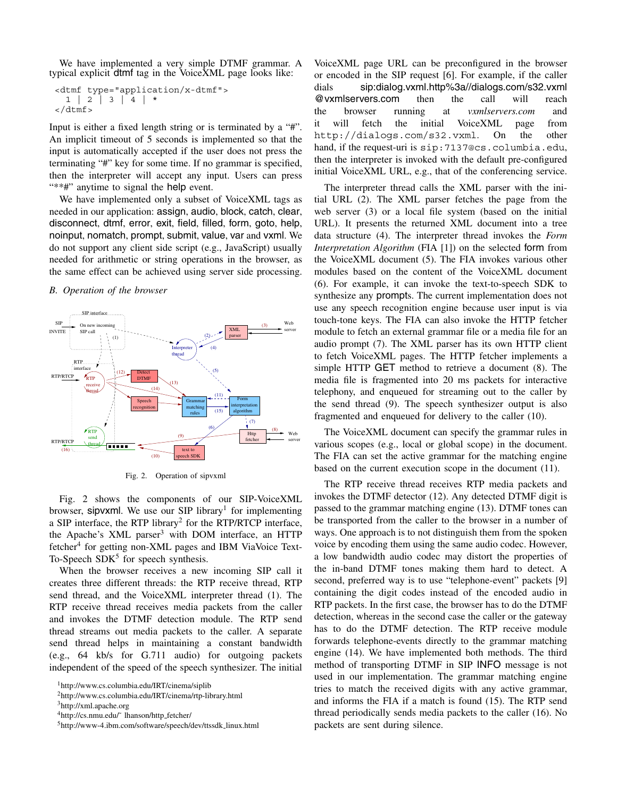We have implemented a very simple DTMF grammar. A typical explicit dtmf tag in the VoiceXML page looks like:

<dtmf type="application/x-dtmf"> 1|2|3|4|\* </dtmf>

Input is either a fixed length string or is terminated by a "#". An implicit timeout of 5 seconds is implemented so that the input is automatically accepted if the user does not press the terminating "#" key for some time. If no grammar is specified, then the interpreter will accept any input. Users can press "\*\*#" anytime to signal the help event.

We have implemented only a subset of VoiceXML tags as needed in our application: assign, audio, block, catch, clear, disconnect, dtmf, error, exit, field, filled, form, goto, help, noinput, nomatch, prompt, submit, value, var and vxml. We do not support any client side script (e.g., JavaScript) usually needed for arithmetic or string operations in the browser, as the same effect can be achieved using server side processing.

*B. Operation of the browser*



Fig. 2. Operation of sipvxml

Fig. 2 shows the components of our SIP-VoiceXML browser, sipvxml. We use our SIP library<sup>1</sup> for implementing a SIP interface, the RTP library<sup>2</sup> for the RTP/RTCP interface, the Apache's XML parser<sup>3</sup> with DOM interface, an HTTP fetcher<sup>4</sup> for getting non-XML pages and IBM ViaVoice Text-To-Speech  $SDK<sup>5</sup>$  for speech synthesis.

When the browser receives a new incoming SIP call it creates three different threads: the RTP receive thread, RTP send thread, and the VoiceXML interpreter thread (1). The RTP receive thread receives media packets from the caller and invokes the DTMF detection module. The RTP send thread streams out media packets to the caller. A separate send thread helps in maintaining a constant bandwidth (e.g., 64 kb/s for G.711 audio) for outgoing packets independent of the speed of the speech synthesizer. The initial

VoiceXML page URL can be preconfigured in the browser or encoded in the SIP request [6]. For example, if the caller dials sip:dialog.vxml.http%3a//dialogs.com/s32.vxml @vxmlservers.com then the call will reach the browser running at *vxmlservers.com* and it will fetch the initial VoiceXML page from http://dialogs.com/s32.vxml. On the other hand, if the request-uri is sip:7137@cs.columbia.edu, then the interpreter is invoked with the default pre-configured initial VoiceXML URL, e.g., that of the conferencing service.

The interpreter thread calls the XML parser with the initial URL (2). The XML parser fetches the page from the web server (3) or a local file system (based on the initial URL). It presents the returned XML document into a tree data structure (4). The interpreter thread invokes the *Form Interpretation Algorithm* (FIA [1]) on the selected form from the VoiceXML document (5). The FIA invokes various other modules based on the content of the VoiceXML document (6). For example, it can invoke the text-to-speech SDK to synthesize any prompts. The current implementation does not use any speech recognition engine because user input is via touch-tone keys. The FIA can also invoke the HTTP fetcher module to fetch an external grammar file or a media file for an audio prompt (7). The XML parser has its own HTTP client to fetch VoiceXML pages. The HTTP fetcher implements a simple HTTP GET method to retrieve a document (8). The media file is fragmented into 20 ms packets for interactive telephony, and enqueued for streaming out to the caller by the send thread (9). The speech synthesizer output is also fragmented and enqueued for delivery to the caller (10).

The VoiceXML document can specify the grammar rules in various scopes (e.g., local or global scope) in the document. The FIA can set the active grammar for the matching engine based on the current execution scope in the document (11).

The RTP receive thread receives RTP media packets and invokes the DTMF detector (12). Any detected DTMF digit is passed to the grammar matching engine (13). DTMF tones can be transported from the caller to the browser in a number of ways. One approach is to not distinguish them from the spoken voice by encoding them using the same audio codec. However, a low bandwidth audio codec may distort the properties of the in-band DTMF tones making them hard to detect. A second, preferred way is to use "telephone-event" packets [9] containing the digit codes instead of the encoded audio in RTP packets. In the first case, the browser has to do the DTMF detection, whereas in the second case the caller or the gateway has to do the DTMF detection. The RTP receive module forwards telephone-events directly to the grammar matching engine (14). We have implemented both methods. The third method of transporting DTMF in SIP INFO message is not used in our implementation. The grammar matching engine tries to match the received digits with any active grammar, and informs the FIA if a match is found (15). The RTP send thread periodically sends media packets to the caller (16). No packets are sent during silence.

<sup>1</sup>http://www.cs.columbia.edu/IRT/cinema/siplib

<sup>2</sup>http://www.cs.columbia.edu/IRT/cinema/rtp-library.html

<sup>3</sup>http://xml.apache.org

<sup>4</sup>http://cs.nmu.edu/˜ lhanson/http fetcher/

<sup>5</sup>http://www-4.ibm.com/software/speech/dev/ttssdk linux.html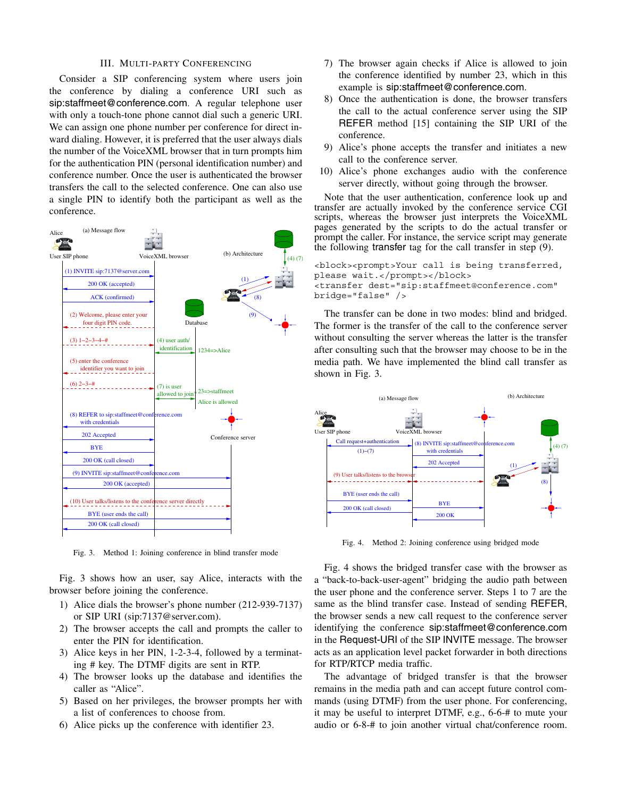### III. MULTI-PARTY CONFERENCING

Consider a SIP conferencing system where users join the conference by dialing a conference URI such as sip:staffmeet@conference.com. A regular telephone user with only a touch-tone phone cannot dial such a generic URI. We can assign one phone number per conference for direct inward dialing. However, it is preferred that the user always dials the number of the VoiceXML browser that in turn prompts him for the authentication PIN (personal identification number) and conference number. Once the user is authenticated the browser transfers the call to the selected conference. One can also use a single PIN to identify both the participant as well as the conference.



Fig. 3. Method 1: Joining conference in blind transfer mode

Fig. 3 shows how an user, say Alice, interacts with the browser before joining the conference.

- 1) Alice dials the browser's phone number (212-939-7137) or SIP URI (sip:7137@server.com).
- 2) The browser accepts the call and prompts the caller to enter the PIN for identification.
- 3) Alice keys in her PIN, 1-2-3-4, followed by a terminating # key. The DTMF digits are sent in RTP.
- 4) The browser looks up the database and identifies the caller as "Alice".
- 5) Based on her privileges, the browser prompts her with a list of conferences to choose from.
- 6) Alice picks up the conference with identifier 23.
- 7) The browser again checks if Alice is allowed to join the conference identified by number 23, which in this example is sip:staffmeet@conference.com.
- 8) Once the authentication is done, the browser transfers the call to the actual conference server using the SIP REFER method [15] containing the SIP URI of the conference.
- 9) Alice's phone accepts the transfer and initiates a new call to the conference server.
- 10) Alice's phone exchanges audio with the conference server directly, without going through the browser.

Note that the user authentication, conference look up and transfer are actually invoked by the conference service CGI scripts, whereas the browser just interprets the VoiceXML pages generated by the scripts to do the actual transfer or prompt the caller. For instance, the service script may generate the following transfer tag for the call transfer in step (9).

<block><prompt>Your call is being transferred, please wait.</prompt></block> <transfer dest="sip:staffmeet@conference.com" bridge="false" />

The transfer can be done in two modes: blind and bridged. The former is the transfer of the call to the conference server without consulting the server whereas the latter is the transfer after consulting such that the browser may choose to be in the media path. We have implemented the blind call transfer as shown in Fig. 3.



Fig. 4. Method 2: Joining conference using bridged mode

Fig. 4 shows the bridged transfer case with the browser as a "back-to-back-user-agent" bridging the audio path between the user phone and the conference server. Steps 1 to 7 are the same as the blind transfer case. Instead of sending REFER, the browser sends a new call request to the conference server identifying the conference sip:staffmeet@conference.com in the Request-URI of the SIP INVITE message. The browser acts as an application level packet forwarder in both directions for RTP/RTCP media traffic.

The advantage of bridged transfer is that the browser remains in the media path and can accept future control commands (using DTMF) from the user phone. For conferencing, it may be useful to interpret DTMF, e.g., 6-6-# to mute your audio or 6-8-# to join another virtual chat/conference room.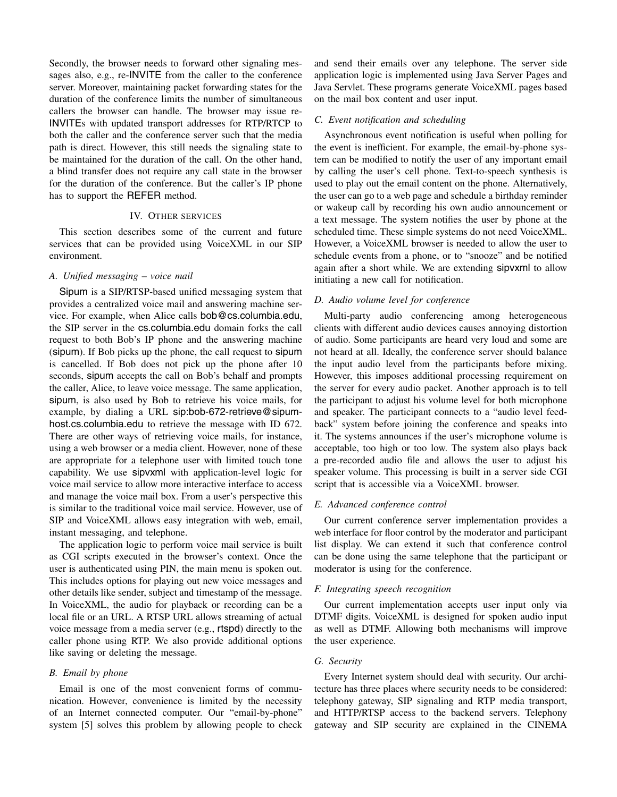Secondly, the browser needs to forward other signaling messages also, e.g., re-INVITE from the caller to the conference server. Moreover, maintaining packet forwarding states for the duration of the conference limits the number of simultaneous callers the browser can handle. The browser may issue re-INVITEs with updated transport addresses for RTP/RTCP to both the caller and the conference server such that the media path is direct. However, this still needs the signaling state to be maintained for the duration of the call. On the other hand, a blind transfer does not require any call state in the browser for the duration of the conference. But the caller's IP phone has to support the REFER method.

# IV. OTHER SERVICES

This section describes some of the current and future services that can be provided using VoiceXML in our SIP environment.

# *A. Unified messaging – voice mail*

Sipum is a SIP/RTSP-based unified messaging system that provides a centralized voice mail and answering machine service. For example, when Alice calls bob@cs.columbia.edu, the SIP server in the cs.columbia.edu domain forks the call request to both Bob's IP phone and the answering machine (sipum). If Bob picks up the phone, the call request to sipum is cancelled. If Bob does not pick up the phone after 10 seconds, sipum accepts the call on Bob's behalf and prompts the caller, Alice, to leave voice message. The same application, sipum, is also used by Bob to retrieve his voice mails, for example, by dialing a URL sip:bob-672-retrieve@sipumhost.cs.columbia.edu to retrieve the message with ID 672. There are other ways of retrieving voice mails, for instance, using a web browser or a media client. However, none of these are appropriate for a telephone user with limited touch tone capability. We use sipvxml with application-level logic for voice mail service to allow more interactive interface to access and manage the voice mail box. From a user's perspective this is similar to the traditional voice mail service. However, use of SIP and VoiceXML allows easy integration with web, email, instant messaging, and telephone.

The application logic to perform voice mail service is built as CGI scripts executed in the browser's context. Once the user is authenticated using PIN, the main menu is spoken out. This includes options for playing out new voice messages and other details like sender, subject and timestamp of the message. In VoiceXML, the audio for playback or recording can be a local file or an URL. A RTSP URL allows streaming of actual voice message from a media server (e.g., rtspd) directly to the caller phone using RTP. We also provide additional options like saving or deleting the message.

## *B. Email by phone*

Email is one of the most convenient forms of communication. However, convenience is limited by the necessity of an Internet connected computer. Our "email-by-phone" system [5] solves this problem by allowing people to check and send their emails over any telephone. The server side application logic is implemented using Java Server Pages and Java Servlet. These programs generate VoiceXML pages based on the mail box content and user input.

## *C. Event notification and scheduling*

Asynchronous event notification is useful when polling for the event is inefficient. For example, the email-by-phone system can be modified to notify the user of any important email by calling the user's cell phone. Text-to-speech synthesis is used to play out the email content on the phone. Alternatively, the user can go to a web page and schedule a birthday reminder or wakeup call by recording his own audio announcement or a text message. The system notifies the user by phone at the scheduled time. These simple systems do not need VoiceXML. However, a VoiceXML browser is needed to allow the user to schedule events from a phone, or to "snooze" and be notified again after a short while. We are extending sipvxml to allow initiating a new call for notification.

# *D. Audio volume level for conference*

Multi-party audio conferencing among heterogeneous clients with different audio devices causes annoying distortion of audio. Some participants are heard very loud and some are not heard at all. Ideally, the conference server should balance the input audio level from the participants before mixing. However, this imposes additional processing requirement on the server for every audio packet. Another approach is to tell the participant to adjust his volume level for both microphone and speaker. The participant connects to a "audio level feedback" system before joining the conference and speaks into it. The systems announces if the user's microphone volume is acceptable, too high or too low. The system also plays back a pre-recorded audio file and allows the user to adjust his speaker volume. This processing is built in a server side CGI script that is accessible via a VoiceXML browser.

# *E. Advanced conference control*

Our current conference server implementation provides a web interface for floor control by the moderator and participant list display. We can extend it such that conference control can be done using the same telephone that the participant or moderator is using for the conference.

#### *F. Integrating speech recognition*

Our current implementation accepts user input only via DTMF digits. VoiceXML is designed for spoken audio input as well as DTMF. Allowing both mechanisms will improve the user experience.

## *G. Security*

Every Internet system should deal with security. Our architecture has three places where security needs to be considered: telephony gateway, SIP signaling and RTP media transport, and HTTP/RTSP access to the backend servers. Telephony gateway and SIP security are explained in the CINEMA